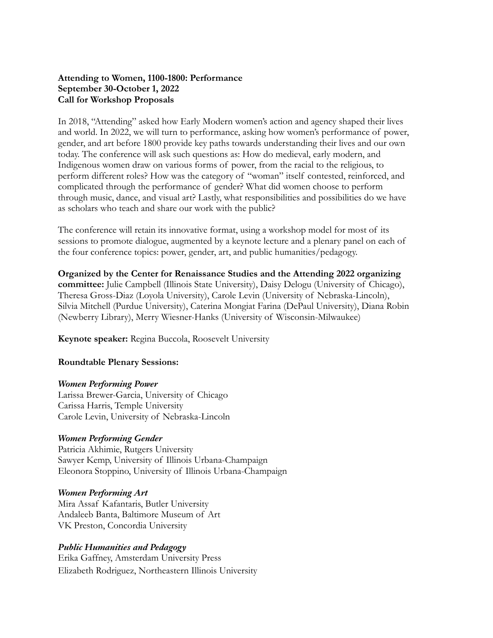# **Attending to Women, 1100-1800: Performance September 30-October 1, 2022 Call for Workshop Proposals**

In 2018, "Attending" asked how Early Modern women's action and agency shaped their lives and world. In 2022, we will turn to performance, asking how women's performance of power, gender, and art before 1800 provide key paths towards understanding their lives and our own today. The conference will ask such questions as: How do medieval, early modern, and Indigenous women draw on various forms of power, from the racial to the religious, to perform different roles? How was the category of "woman" itself contested, reinforced, and complicated through the performance of gender? What did women choose to perform through music, dance, and visual art? Lastly, what responsibilities and possibilities do we have as scholars who teach and share our work with the public?

The conference will retain its innovative format, using a workshop model for most of its sessions to promote dialogue, augmented by a keynote lecture and a plenary panel on each of the four conference topics: power, gender, art, and public humanities/pedagogy.

**Organized by the Center for Renaissance Studies and the Attending 2022 organizing committee:** Julie Campbell (Illinois State University), Daisy Delogu (University of Chicago), Theresa Gross-Diaz (Loyola University), Carole Levin (University of Nebraska-Lincoln), Silvia Mitchell (Purdue University), Caterina Mongiat Farina (DePaul University), Diana Robin (Newberry Library), Merry Wiesner-Hanks (University of Wisconsin-Milwaukee)

**Keynote speaker:** Regina Buccola, Roosevelt University

### **Roundtable Plenary Sessions:**

### *Women Performing Power*

Larissa Brewer-Garcia, University of Chicago Carissa Harris, Temple University Carole Levin, University of Nebraska-Lincoln

### *Women Performing Gender*

Patricia Akhimie, Rutgers University Sawyer Kemp, University of Illinois Urbana-Champaign Eleonora Stoppino, University of Illinois Urbana-Champaign

### *Women Performing Art*

Mira Assaf Kafantaris, Butler University Andaleeb Banta, Baltimore Museum of Art VK Preston, Concordia University

### *Public Humanities and Pedagogy*

Erika Gaffney, Amsterdam University Press Elizabeth Rodriguez, Northeastern Illinois University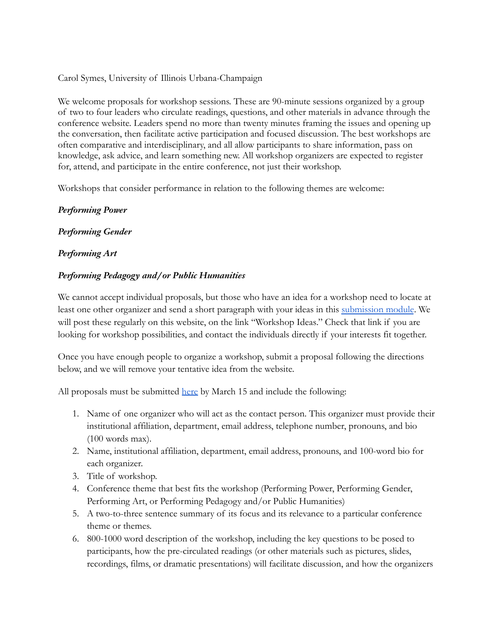Carol Symes, University of Illinois Urbana-Champaign

We welcome proposals for workshop sessions. These are 90-minute sessions organized by a group of two to four leaders who circulate readings, questions, and other materials in advance through the conference website. Leaders spend no more than twenty minutes framing the issues and opening up the conversation, then facilitate active participation and focused discussion. The best workshops are often comparative and interdisciplinary, and all allow participants to share information, pass on knowledge, ask advice, and learn something new. All workshop organizers are expected to register for, attend, and participate in the entire conference, not just their workshop.

Workshops that consider performance in relation to the following themes are welcome:

# *Performing Power*

# *Performing Gender*

# *Performing Art*

# *Performing Pedagogy and/or Public Humanities*

We cannot accept individual proposals, but those who have an idea for a workshop need to locate at least one other organizer and send a short paragraph with your ideas in this [submission module](https://forms.gle/hE2kddzApYLMzhJc7). We will post these regularly on this website, on the link "Workshop Ideas." Check that link if you are looking for workshop possibilities, and contact the individuals directly if your interests fit together.

Once you have enough people to organize a workshop, submit a proposal following the directions below, and we will remove your tentative idea from the website.

All proposals must be submitted [here](https://forms.gle/hE2kddzApYLMzhJc7) by March 15 and include the following:

- 1. Name of one organizer who will act as the contact person. This organizer must provide their institutional affiliation, department, email address, telephone number, pronouns, and bio (100 words max).
- 2. Name, institutional affiliation, department, email address, pronouns, and 100-word bio for each organizer.
- 3. Title of workshop.
- 4. Conference theme that best fits the workshop (Performing Power, Performing Gender, Performing Art, or Performing Pedagogy and/or Public Humanities)
- 5. A two-to-three sentence summary of its focus and its relevance to a particular conference theme or themes.
- 6. 800-1000 word description of the workshop, including the key questions to be posed to participants, how the pre-circulated readings (or other materials such as pictures, slides, recordings, films, or dramatic presentations) will facilitate discussion, and how the organizers